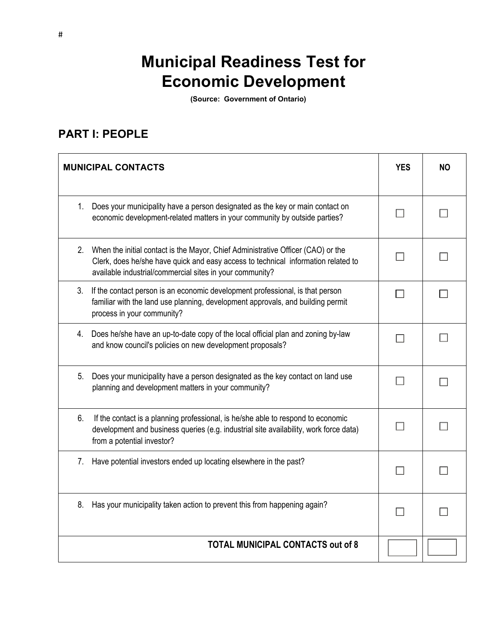# **Municipal Readiness Test for Economic Development**

**(Source: Government of Ontario)**

### **PART I: PEOPLE**

|    | <b>MUNICIPAL CONTACTS</b>                                                                                                                                                                                                         | <b>YES</b> | <b>NO</b> |
|----|-----------------------------------------------------------------------------------------------------------------------------------------------------------------------------------------------------------------------------------|------------|-----------|
| 1. | Does your municipality have a person designated as the key or main contact on<br>economic development-related matters in your community by outside parties?                                                                       |            |           |
| 2. | When the initial contact is the Mayor, Chief Administrative Officer (CAO) or the<br>Clerk, does he/she have quick and easy access to technical information related to<br>available industrial/commercial sites in your community? |            |           |
| 3. | If the contact person is an economic development professional, is that person<br>familiar with the land use planning, development approvals, and building permit<br>process in your community?                                    |            |           |
| 4. | Does he/she have an up-to-date copy of the local official plan and zoning by-law<br>and know council's policies on new development proposals?                                                                                     |            |           |
| 5. | Does your municipality have a person designated as the key contact on land use<br>planning and development matters in your community?                                                                                             |            |           |
| 6. | If the contact is a planning professional, is he/she able to respond to economic<br>development and business queries (e.g. industrial site availability, work force data)<br>from a potential investor?                           |            |           |
| 7. | Have potential investors ended up locating elsewhere in the past?                                                                                                                                                                 |            |           |
| 8. | Has your municipality taken action to prevent this from happening again?                                                                                                                                                          |            |           |
|    | <b>TOTAL MUNICIPAL CONTACTS out of 8</b>                                                                                                                                                                                          |            |           |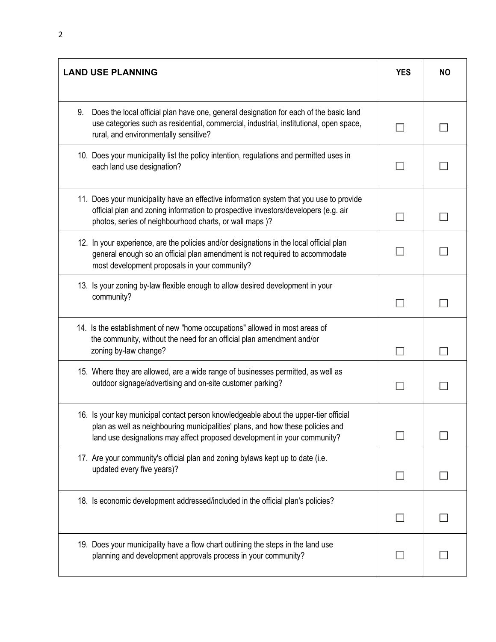| <b>LAND USE PLANNING</b>                                                                                                                                                                                                                           |  | <b>NO</b> |
|----------------------------------------------------------------------------------------------------------------------------------------------------------------------------------------------------------------------------------------------------|--|-----------|
| 9.<br>Does the local official plan have one, general designation for each of the basic land<br>use categories such as residential, commercial, industrial, institutional, open space,<br>rural, and environmentally sensitive?                     |  |           |
| 10. Does your municipality list the policy intention, regulations and permitted uses in<br>each land use designation?                                                                                                                              |  |           |
| 11. Does your municipality have an effective information system that you use to provide<br>official plan and zoning information to prospective investors/developers (e.g. air<br>photos, series of neighbourhood charts, or wall maps )?           |  |           |
| 12. In your experience, are the policies and/or designations in the local official plan<br>general enough so an official plan amendment is not required to accommodate<br>most development proposals in your community?                            |  |           |
| 13. Is your zoning by-law flexible enough to allow desired development in your<br>community?                                                                                                                                                       |  |           |
| 14. Is the establishment of new "home occupations" allowed in most areas of<br>the community, without the need for an official plan amendment and/or<br>zoning by-law change?                                                                      |  |           |
| 15. Where they are allowed, are a wide range of businesses permitted, as well as<br>outdoor signage/advertising and on-site customer parking?                                                                                                      |  |           |
| 16. Is your key municipal contact person knowledgeable about the upper-tier official<br>plan as well as neighbouring municipalities' plans, and how these policies and<br>land use designations may affect proposed development in your community? |  |           |
| 17. Are your community's official plan and zoning bylaws kept up to date (i.e.<br>updated every five years)?                                                                                                                                       |  |           |
| 18. Is economic development addressed/included in the official plan's policies?                                                                                                                                                                    |  |           |
| 19. Does your municipality have a flow chart outlining the steps in the land use<br>planning and development approvals process in your community?                                                                                                  |  |           |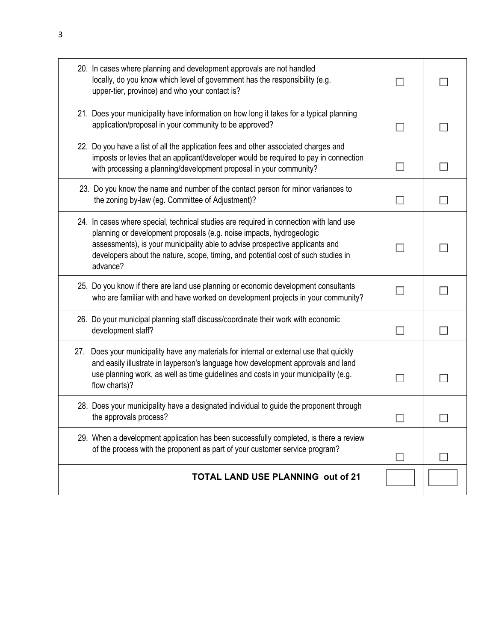| 20. In cases where planning and development approvals are not handled<br>locally, do you know which level of government has the responsibility (e.g.<br>upper-tier, province) and who your contact is?                                                                                                                                          |  |
|-------------------------------------------------------------------------------------------------------------------------------------------------------------------------------------------------------------------------------------------------------------------------------------------------------------------------------------------------|--|
| 21. Does your municipality have information on how long it takes for a typical planning<br>application/proposal in your community to be approved?                                                                                                                                                                                               |  |
| 22. Do you have a list of all the application fees and other associated charges and<br>imposts or levies that an applicant/developer would be required to pay in connection<br>with processing a planning/development proposal in your community?                                                                                               |  |
| 23. Do you know the name and number of the contact person for minor variances to<br>the zoning by-law (eg. Committee of Adjustment)?                                                                                                                                                                                                            |  |
| 24. In cases where special, technical studies are required in connection with land use<br>planning or development proposals (e.g. noise impacts, hydrogeologic<br>assessments), is your municipality able to advise prospective applicants and<br>developers about the nature, scope, timing, and potential cost of such studies in<br>advance? |  |
| 25. Do you know if there are land use planning or economic development consultants<br>who are familiar with and have worked on development projects in your community?                                                                                                                                                                          |  |
| 26. Do your municipal planning staff discuss/coordinate their work with economic<br>development staff?                                                                                                                                                                                                                                          |  |
| 27. Does your municipality have any materials for internal or external use that quickly<br>and easily illustrate in layperson's language how development approvals and land<br>use planning work, as well as time guidelines and costs in your municipality (e.g.<br>flow charts)?                                                              |  |
| 28. Does your municipality have a designated individual to guide the proponent through<br>the approvals process?                                                                                                                                                                                                                                |  |
| 29. When a development application has been successfully completed, is there a review<br>of the process with the proponent as part of your customer service program?                                                                                                                                                                            |  |
| <b>TOTAL LAND USE PLANNING out of 21</b>                                                                                                                                                                                                                                                                                                        |  |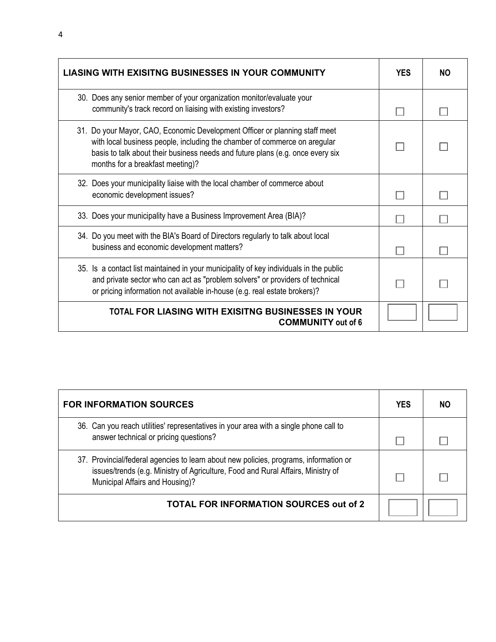| <b>LIASING WITH EXISITNG BUSINESSES IN YOUR COMMUNITY</b>                                                                                                                                                                                                                      | <b>YES</b> | NΟ |
|--------------------------------------------------------------------------------------------------------------------------------------------------------------------------------------------------------------------------------------------------------------------------------|------------|----|
| 30. Does any senior member of your organization monitor/evaluate your<br>community's track record on liaising with existing investors?                                                                                                                                         |            |    |
| 31. Do your Mayor, CAO, Economic Development Officer or planning staff meet<br>with local business people, including the chamber of commerce on aregular<br>basis to talk about their business needs and future plans (e.g. once every six<br>months for a breakfast meeting)? |            |    |
| 32. Does your municipality liaise with the local chamber of commerce about<br>economic development issues?                                                                                                                                                                     |            |    |
| 33. Does your municipality have a Business Improvement Area (BIA)?                                                                                                                                                                                                             |            |    |
| 34. Do you meet with the BIA's Board of Directors regularly to talk about local<br>business and economic development matters?                                                                                                                                                  |            |    |
| 35. Is a contact list maintained in your municipality of key individuals in the public<br>and private sector who can act as "problem solvers" or providers of technical<br>or pricing information not available in-house (e.g. real estate brokers)?                           |            |    |
| <b>TOTAL FOR LIASING WITH EXISITNG BUSINESSES IN YOUR</b><br><b>COMMUNITY</b> out of 6                                                                                                                                                                                         |            |    |

| <b>FOR INFORMATION SOURCES</b>                                                                                                                                                                               | <b>YES</b> | NΟ |
|--------------------------------------------------------------------------------------------------------------------------------------------------------------------------------------------------------------|------------|----|
| 36. Can you reach utilities' representatives in your area with a single phone call to<br>answer technical or pricing questions?                                                                              |            |    |
| 37. Provincial/federal agencies to learn about new policies, programs, information or<br>issues/trends (e.g. Ministry of Agriculture, Food and Rural Affairs, Ministry of<br>Municipal Affairs and Housing)? |            |    |
| <b>TOTAL FOR INFORMATION SOURCES out of 2</b>                                                                                                                                                                |            |    |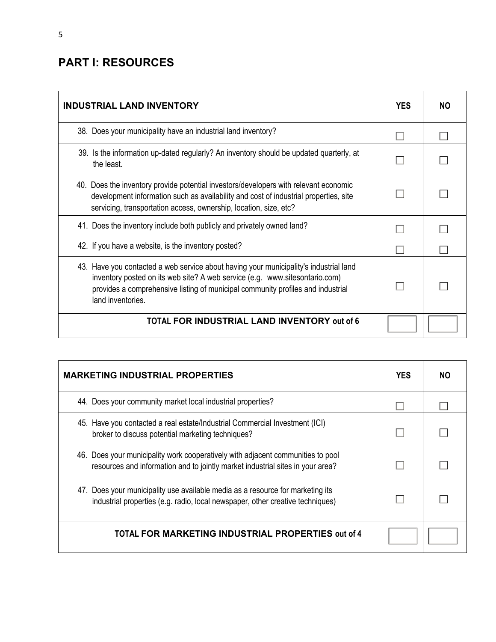### **PART I: RESOURCES**

| <b>INDUSTRIAL LAND INVENTORY</b>                                                                                                                                                                                                                                             | <b>YES</b> | NO. |
|------------------------------------------------------------------------------------------------------------------------------------------------------------------------------------------------------------------------------------------------------------------------------|------------|-----|
| 38. Does your municipality have an industrial land inventory?                                                                                                                                                                                                                |            |     |
| 39. Is the information up-dated regularly? An inventory should be updated quarterly, at<br>the least.                                                                                                                                                                        |            |     |
| 40. Does the inventory provide potential investors/developers with relevant economic<br>development information such as availability and cost of industrial properties, site<br>servicing, transportation access, ownership, location, size, etc?                            |            |     |
| 41. Does the inventory include both publicly and privately owned land?                                                                                                                                                                                                       |            |     |
| 42. If you have a website, is the inventory posted?                                                                                                                                                                                                                          |            |     |
| 43. Have you contacted a web service about having your municipality's industrial land<br>inventory posted on its web site? A web service (e.g. www.sitesontario.com)<br>provides a comprehensive listing of municipal community profiles and industrial<br>land inventories. |            |     |
| TOTAL FOR INDUSTRIAL LAND INVENTORY out of 6                                                                                                                                                                                                                                 |            |     |

| <b>MARKETING INDUSTRIAL PROPERTIES</b>                                                                                                                            | <b>YES</b> | NO. |
|-------------------------------------------------------------------------------------------------------------------------------------------------------------------|------------|-----|
| 44. Does your community market local industrial properties?                                                                                                       |            |     |
| 45. Have you contacted a real estate/Industrial Commercial Investment (ICI)<br>broker to discuss potential marketing techniques?                                  |            |     |
| 46. Does your municipality work cooperatively with adjacent communities to pool<br>resources and information and to jointly market industrial sites in your area? |            |     |
| 47. Does your municipality use available media as a resource for marketing its<br>industrial properties (e.g. radio, local newspaper, other creative techniques)  |            |     |
| TOTAL FOR MARKETING INDUSTRIAL PROPERTIES out of 4                                                                                                                |            |     |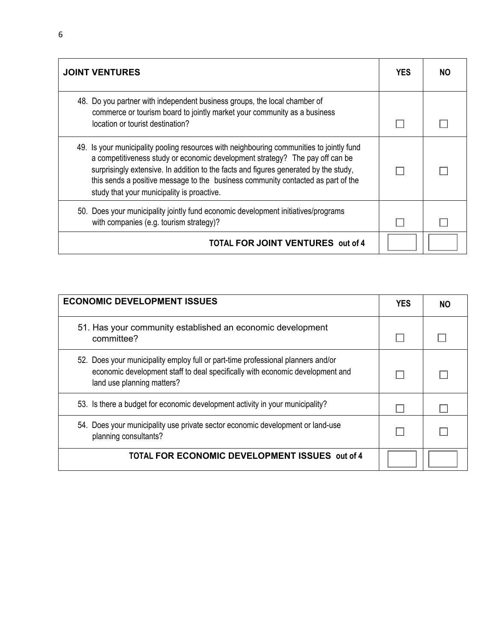| <b>JOINT VENTURES</b>                                                                                                                                                                                                                                                                                                                                                                              | <b>YES</b> | NO. |
|----------------------------------------------------------------------------------------------------------------------------------------------------------------------------------------------------------------------------------------------------------------------------------------------------------------------------------------------------------------------------------------------------|------------|-----|
| 48. Do you partner with independent business groups, the local chamber of<br>commerce or tourism board to jointly market your community as a business<br>location or tourist destination?                                                                                                                                                                                                          |            |     |
| 49. Is your municipality pooling resources with neighbouring communities to jointly fund<br>a competitiveness study or economic development strategy? The pay off can be<br>surprisingly extensive. In addition to the facts and figures generated by the study,<br>this sends a positive message to the business community contacted as part of the<br>study that your municipality is proactive. |            |     |
| 50. Does your municipality jointly fund economic development initiatives/programs<br>with companies (e.g. tourism strategy)?                                                                                                                                                                                                                                                                       |            |     |
| <b>TOTAL FOR JOINT VENTURES</b> out of 4                                                                                                                                                                                                                                                                                                                                                           |            |     |

| <b>ECONOMIC DEVELOPMENT ISSUES</b>                                                                                                                                                              | <b>YES</b> | NO. |
|-------------------------------------------------------------------------------------------------------------------------------------------------------------------------------------------------|------------|-----|
| 51. Has your community established an economic development<br>committee?                                                                                                                        |            |     |
| 52. Does your municipality employ full or part-time professional planners and/or<br>economic development staff to deal specifically with economic development and<br>land use planning matters? |            |     |
| 53. Is there a budget for economic development activity in your municipality?                                                                                                                   |            |     |
| 54. Does your municipality use private sector economic development or land-use<br>planning consultants?                                                                                         |            |     |
| TOTAL FOR ECONOMIC DEVELOPMENT ISSUES out of 4                                                                                                                                                  |            |     |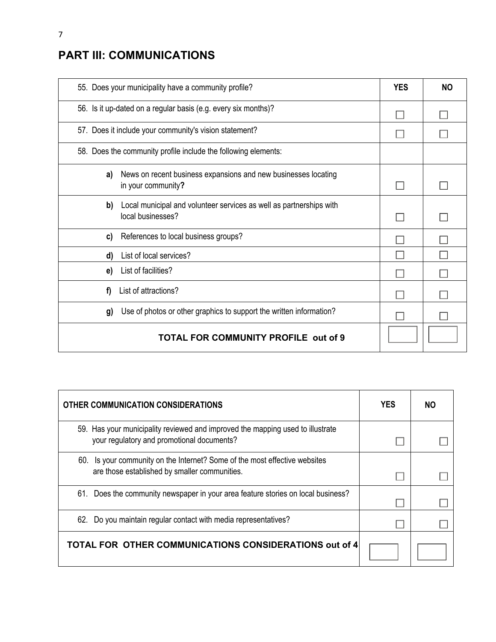## **PART III: COMMUNICATIONS**

| 55. Does your municipality have a community profile?                                           | <b>YES</b> | <b>NO</b> |
|------------------------------------------------------------------------------------------------|------------|-----------|
| 56. Is it up-dated on a regular basis (e.g. every six months)?                                 |            |           |
| 57. Does it include your community's vision statement?                                         |            |           |
| 58. Does the community profile include the following elements:                                 |            |           |
| News on recent business expansions and new businesses locating<br>a)<br>in your community?     |            |           |
| Local municipal and volunteer services as well as partnerships with<br>b)<br>local businesses? |            |           |
| References to local business groups?<br>C)                                                     |            |           |
| List of local services?<br>d)                                                                  |            |           |
| List of facilities?<br>e)                                                                      |            |           |
| List of attractions?<br>f)                                                                     |            |           |
| Use of photos or other graphics to support the written information?<br>g)                      |            |           |
| <b>TOTAL FOR COMMUNITY PROFILE out of 9</b>                                                    |            |           |

| <b>OTHER COMMUNICATION CONSIDERATIONS</b>                                                                                    | <b>YES</b> | NO |
|------------------------------------------------------------------------------------------------------------------------------|------------|----|
| 59. Has your municipality reviewed and improved the mapping used to illustrate<br>your regulatory and promotional documents? |            |    |
| 60. Is your community on the Internet? Some of the most effective websites<br>are those established by smaller communities.  |            |    |
| 61. Does the community newspaper in your area feature stories on local business?                                             |            |    |
| 62. Do you maintain regular contact with media representatives?                                                              |            |    |
| TOTAL FOR OTHER COMMUNICATIONS CONSIDERATIONS out of 4                                                                       |            |    |